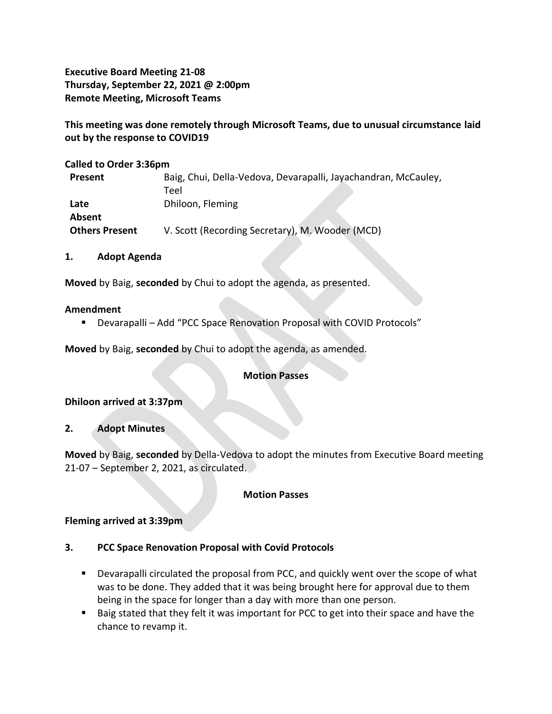**Executive Board Meeting 21-08 Thursday, September 22, 2021 @ 2:00pm Remote Meeting, Microsoft Teams**

**This meeting was done remotely through Microsoft Teams, due to unusual circumstance laid out by the response to COVID19**

**Called to Order 3:36pm**

| Present               | Baig, Chui, Della-Vedova, Devarapalli, Jayachandran, McCauley, |
|-----------------------|----------------------------------------------------------------|
|                       | Teel                                                           |
| Late                  | Dhiloon, Fleming                                               |
| Absent                |                                                                |
| <b>Others Present</b> | V. Scott (Recording Secretary), M. Wooder (MCD)                |

**1. Adopt Agenda**

**Moved** by Baig, **seconded** by Chui to adopt the agenda, as presented.

#### **Amendment**

▪ Devarapalli – Add "PCC Space Renovation Proposal with COVID Protocols"

**Moved** by Baig, **seconded** by Chui to adopt the agenda, as amended.

#### **Motion Passes**

**Dhiloon arrived at 3:37pm**

**2. Adopt Minutes** 

**Moved** by Baig, **seconded** by Della-Vedova to adopt the minutes from Executive Board meeting 21-07 – September 2, 2021, as circulated.

#### **Motion Passes**

#### **Fleming arrived at 3:39pm**

#### **3. PCC Space Renovation Proposal with Covid Protocols**

- Devarapalli circulated the proposal from PCC, and quickly went over the scope of what was to be done. They added that it was being brought here for approval due to them being in the space for longer than a day with more than one person.
- Baig stated that they felt it was important for PCC to get into their space and have the chance to revamp it.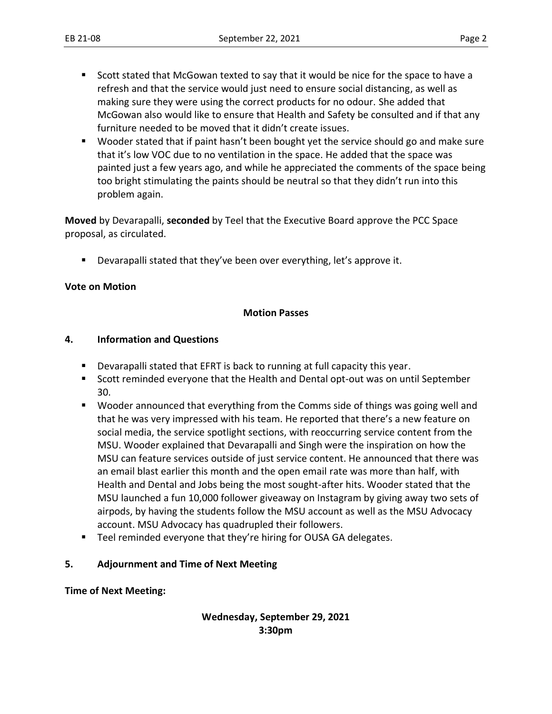- Scott stated that McGowan texted to say that it would be nice for the space to have a refresh and that the service would just need to ensure social distancing, as well as making sure they were using the correct products for no odour. She added that McGowan also would like to ensure that Health and Safety be consulted and if that any furniture needed to be moved that it didn't create issues.
- Wooder stated that if paint hasn't been bought yet the service should go and make sure that it's low VOC due to no ventilation in the space. He added that the space was painted just a few years ago, and while he appreciated the comments of the space being too bright stimulating the paints should be neutral so that they didn't run into this problem again.

**Moved** by Devarapalli, **seconded** by Teel that the Executive Board approve the PCC Space proposal, as circulated.

Devarapalli stated that they've been over everything, let's approve it.

## **Vote on Motion**

## **Motion Passes**

## **4. Information and Questions**

- Devarapalli stated that EFRT is back to running at full capacity this year.
- Scott reminded everyone that the Health and Dental opt-out was on until September 30.
- Wooder announced that everything from the Comms side of things was going well and that he was very impressed with his team. He reported that there's a new feature on social media, the service spotlight sections, with reoccurring service content from the MSU. Wooder explained that Devarapalli and Singh were the inspiration on how the MSU can feature services outside of just service content. He announced that there was an email blast earlier this month and the open email rate was more than half, with Health and Dental and Jobs being the most sought-after hits. Wooder stated that the MSU launched a fun 10,000 follower giveaway on Instagram by giving away two sets of airpods, by having the students follow the MSU account as well as the MSU Advocacy account. MSU Advocacy has quadrupled their followers.
- Teel reminded everyone that they're hiring for OUSA GA delegates.

## **5. Adjournment and Time of Next Meeting**

#### **Time of Next Meeting:**

## **Wednesday, September 29, 2021 3:30pm**